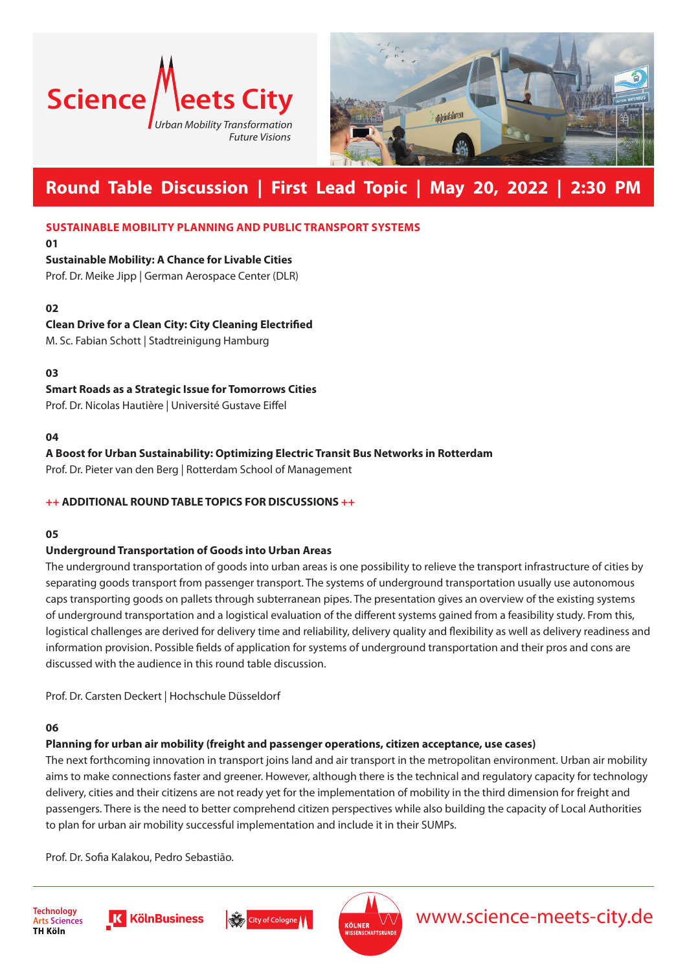



# **Round Table Discussion | First Lead Topic | May 20, 2022 | 2:30 PM**

### **SUSTAINABLE MOBILITY PLANNING AND PUBLIC TRANSPORT SYSTEMS**

**01**

## **Sustainable Mobility: A Chance for Livable Cities**

Prof. Dr. Meike Jipp | German Aerospace Center (DLR)

## **02**

# **Clean Drive for a Clean City: City Cleaning Electrified**

M. Sc. Fabian Schott | Stadtreinigung Hamburg

**03**

# **Smart Roads as a Strategic Issue for Tomorrows Cities**

Prof. Dr. Nicolas Hautière | Université Gustave Eiffel

#### **04**

# **A Boost for Urban Sustainability: Optimizing Electric Transit Bus Networks in Rotterdam**

Prof. Dr. Pieter van den Berg | Rotterdam School of Management

# **++ ADDITIONAL ROUND TABLE TOPICS FOR DISCUSSIONS ++**

#### **05**

# **Underground Transportation of Goods into Urban Areas**

The underground transportation of goods into urban areas is one possibility to relieve the transport infrastructure of cities by separating goods transport from passenger transport. The systems of underground transportation usually use autonomous caps transporting goods on pallets through subterranean pipes. The presentation gives an overview of the existing systems of underground transportation and a logistical evaluation of the different systems gained from a feasibility study. From this, logistical challenges are derived for delivery time and reliability, delivery quality and flexibility as well as delivery readiness and information provision. Possible fields of application for systems of underground transportation and their pros and cons are discussed with the audience in this round table discussion.

Prof. Dr. Carsten Deckert | Hochschule Düsseldorf

# **06**

# **Planning for urban air mobility (freight and passenger operations, citizen acceptance, use cases)**

The next forthcoming innovation in transport joins land and air transport in the metropolitan environment. Urban air mobility aims to make connections faster and greener. However, although there is the technical and regulatory capacity for technology delivery, cities and their citizens are not ready yet for the implementation of mobility in the third dimension for freight and passengers. There is the need to better comprehend citizen perspectives while also building the capacity of Local Authorities to plan for urban air mobility successful implementation and include it in their SUMPs.

Prof. Dr. Sofia Kalakou, Pedro Sebastião.